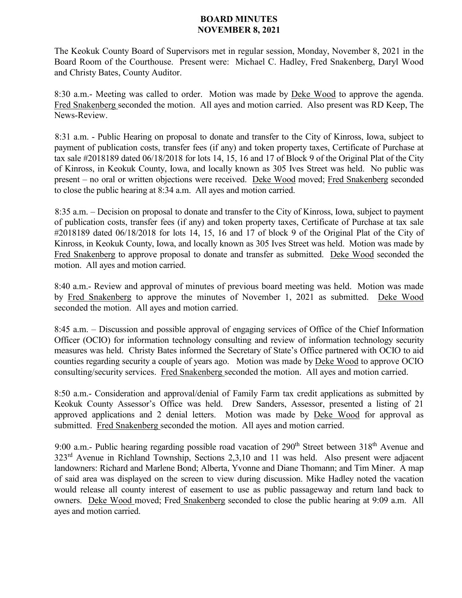## **BOARD MINUTES NOVEMBER 8, 2021**

The Keokuk County Board of Supervisors met in regular session, Monday, November 8, 2021 in the Board Room of the Courthouse. Present were: Michael C. Hadley, Fred Snakenberg, Daryl Wood and Christy Bates, County Auditor.

8:30 a.m.- Meeting was called to order. Motion was made by Deke Wood to approve the agenda. Fred Snakenberg seconded the motion. All ayes and motion carried. Also present was RD Keep, The News-Review.

8:31 a.m. - Public Hearing on proposal to donate and transfer to the City of Kinross, Iowa, subject to payment of publication costs, transfer fees (if any) and token property taxes, Certificate of Purchase at tax sale #2018189 dated 06/18/2018 for lots 14, 15, 16 and 17 of Block 9 of the Original Plat of the City of Kinross, in Keokuk County, Iowa, and locally known as 305 Ives Street was held. No public was present – no oral or written objections were received. Deke Wood moved; Fred Snakenberg seconded to close the public hearing at 8:34 a.m. All ayes and motion carried.

8:35 a.m. – Decision on proposal to donate and transfer to the City of Kinross, Iowa, subject to payment of publication costs, transfer fees (if any) and token property taxes, Certificate of Purchase at tax sale #2018189 dated 06/18/2018 for lots 14, 15, 16 and 17 of block 9 of the Original Plat of the City of Kinross, in Keokuk County, Iowa, and locally known as 305 Ives Street was held. Motion was made by Fred Snakenberg to approve proposal to donate and transfer as submitted. Deke Wood seconded the motion. All ayes and motion carried.

8:40 a.m.- Review and approval of minutes of previous board meeting was held. Motion was made by Fred Snakenberg to approve the minutes of November 1, 2021 as submitted. Deke Wood seconded the motion. All ayes and motion carried.

8:45 a.m. – Discussion and possible approval of engaging services of Office of the Chief Information Officer (OCIO) for information technology consulting and review of information technology security measures was held. Christy Bates informed the Secretary of State's Office partnered with OCIO to aid counties regarding security a couple of years ago. Motion was made by Deke Wood to approve OCIO consulting/security services. Fred Snakenberg seconded the motion. All ayes and motion carried.

8:50 a.m.- Consideration and approval/denial of Family Farm tax credit applications as submitted by Keokuk County Assessor's Office was held. Drew Sanders, Assessor, presented a listing of 21 approved applications and 2 denial letters. Motion was made by Deke Wood for approval as submitted. Fred Snakenberg seconded the motion. All ayes and motion carried.

9:00 a.m.- Public hearing regarding possible road vacation of  $290<sup>th</sup>$  Street between  $318<sup>th</sup>$  Avenue and 323rd Avenue in Richland Township, Sections 2,3,10 and 11 was held. Also present were adjacent landowners: Richard and Marlene Bond; Alberta, Yvonne and Diane Thomann; and Tim Miner. A map of said area was displayed on the screen to view during discussion. Mike Hadley noted the vacation would release all county interest of easement to use as public passageway and return land back to owners. Deke Wood moved; Fred Snakenberg seconded to close the public hearing at 9:09 a.m. All ayes and motion carried.